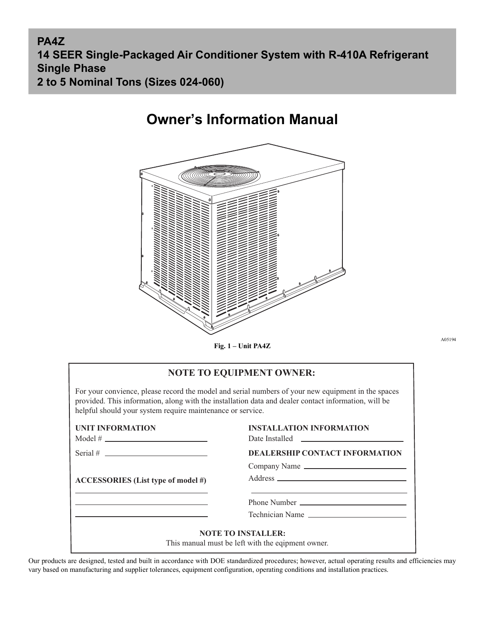**PA4Z 14 SEER Single-Packaged Air Conditioner System with R-410A Refrigerant Single Phase 2 to 5 Nominal Tons (Sizes 024-060)**

# **Owner's Information Manual**



**Fig. 1 – Unit PA4Z**

A05194

| <b>NOTE TO EQUIPMENT OWNER:</b>                                                                                                                                                                                                                                          |  |  |  |  |  |  |
|--------------------------------------------------------------------------------------------------------------------------------------------------------------------------------------------------------------------------------------------------------------------------|--|--|--|--|--|--|
| For your convience, please record the model and serial numbers of your new equipment in the spaces<br>provided. This information, along with the installation data and dealer contact information, will be<br>helpful should your system require maintenance or service. |  |  |  |  |  |  |
| <b>INSTALLATION INFORMATION</b><br>Date Installed <b>Example 2018</b>                                                                                                                                                                                                    |  |  |  |  |  |  |
| <b>DEALERSHIP CONTACT INFORMATION</b>                                                                                                                                                                                                                                    |  |  |  |  |  |  |
| Company Name                                                                                                                                                                                                                                                             |  |  |  |  |  |  |
|                                                                                                                                                                                                                                                                          |  |  |  |  |  |  |
| the control of the control of the control of the control of the control of the control of the control of the control of the control of the control of the control of the control of the control of the control of the control                                            |  |  |  |  |  |  |
| Technician Name                                                                                                                                                                                                                                                          |  |  |  |  |  |  |
|                                                                                                                                                                                                                                                                          |  |  |  |  |  |  |

Our products are designed, tested and built in accordance with DOE standardized procedures; however, actual operating results and efficiencies may vary based on manufacturing and supplier tolerances, equipment configuration, operating conditions and installation practices.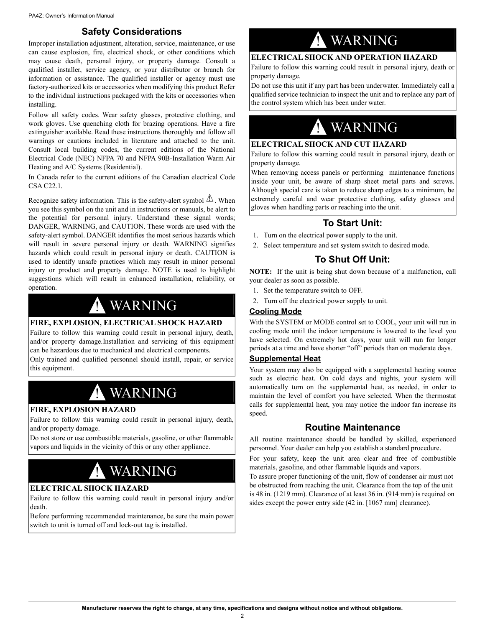# **Safety Considerations**

Improper installation adjustment, alteration, service, maintenance, or use can cause explosion, fire, electrical shock, or other conditions which may cause death, personal injury, or property damage. Consult a qualified installer, service agency, or your distributor or branch for information or assistance. The qualified installer or agency must use factory-authorized kits or accessories when modifying this product Refer to the individual instructions packaged with the kits or accessories when installing.

Follow all safety codes. Wear safety glasses, protective clothing, and work gloves. Use quenching cloth for brazing operations. Have a fire extinguisher available. Read these instructions thoroughly and follow all warnings or cautions included in literature and attached to the unit. Consult local building codes, the current editions of the National Electrical Code (NEC) NFPA 70 and NFPA 90B-Installation Warm Air Heating and A/C Systems (Residential).

In Canada refer to the current editions of the Canadian electrical Code CSA C22.1.

Recognize safety information. This is the safety-alert symbol  $\triangle$ . When you see this symbol on the unit and in instructions or manuals, be alert to the potential for personal injury. Understand these signal words; DANGER, WARNING, and CAUTION. These words are used with the safety-alert symbol. DANGER identifies the most serious hazards which will result in severe personal injury or death. WARNING signifies hazards which could result in personal injury or death. CAUTION is used to identify unsafe practices which may result in minor personal injury or product and property damage. NOTE is used to highlight suggestions which will result in enhanced installation, reliability, or operation.

# ! WARNING

#### **FIRE, EXPLOSION, ELECTRICAL SHOCK HAZARD**

Failure to follow this warning could result in personal injury, death, and/or property damage.Installation and servicing of this equipment can be hazardous due to mechanical and electrical components.

Only trained and qualified personnel should install, repair, or service this equipment.

# ! WARNING

### **FIRE, EXPLOSION HAZARD**

.

Failure to follow this warning could result in personal injury, death, and/or property damage.

Do not store or use combustible materials, gasoline, or other flammable vapors and liquids in the vicinity of this or any other appliance.

# ! WARNING

### **ELECTRICAL SHOCK HAZARD**

Failure to follow this warning could result in personal injury and/or death.

Before performing recommended maintenance, be sure the main power switch to unit is turned off and lock-out tag is installed.

# ! WARNING

### **ELECTRICAL SHOCK AND OPERATION HAZARD**

Failure to follow this warning could result in personal injury, death or property damage.

Do not use this unit if any part has been underwater. Immediately call a qualified service technician to inspect the unit and to replace any part of the control system which has been under water.

# ! WARNING

#### **ELECTRICAL SHOCK AND CUT HAZARD**

Failure to follow this warning could result in personal injury, death or property damage.

When removing access panels or performing maintenance functions inside your unit, be aware of sharp sheet metal parts and screws. Although special care is taken to reduce sharp edges to a minimum, be extremely careful and wear protective clothing, safety glasses and gloves when handling parts or reaching into the unit.

# **To Start Unit:**

- 1. Turn on the electrical power supply to the unit.
- 2. Select temperature and set system switch to desired mode.

## **To Shut Off Unit:**

**NOTE:** If the unit is being shut down because of a malfunction, call your dealer as soon as possible.

- 1. Set the temperature switch to OFF.
- 2. Turn off the electrical power supply to unit.

#### **Cooling Mode**

With the SYSTEM or MODE control set to COOL, your unit will run in cooling mode until the indoor temperature is lowered to the level you have selected. On extremely hot days, your unit will run for longer periods at a time and have shorter "off" periods than on moderate days.

#### **Supplemental Heat**

Your system may also be equipped with a supplemental heating source such as electric heat. On cold days and nights, your system will automatically turn on the supplemental heat, as needed, in order to maintain the level of comfort you have selected. When the thermostat calls for supplemental heat, you may notice the indoor fan increase its speed.

# **Routine Maintenance**

All routine maintenance should be handled by skilled, experienced personnel. Your dealer can help you establish a standard procedure.

For your safety, keep the unit area clear and free of combustible materials, gasoline, and other flammable liquids and vapors.

To assure proper functioning of the unit, flow of condenser air must not be obstructed from reaching the unit. Clearance from the top of the unit is 48 in. (1219 mm). Clearance of at least 36 in. (914 mm) is required on sides except the power entry side (42 in. [1067 mm] clearance).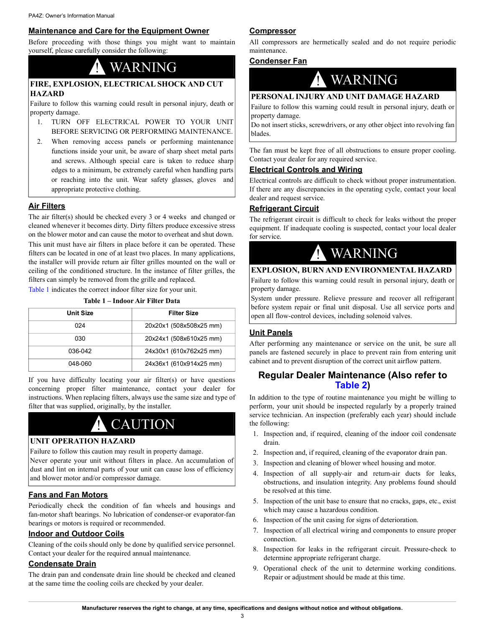### **Maintenance and Care for the Equipment Owner**

Before proceeding with those things you might want to maintain yourself, please carefully consider the following:

# **WARNING**

### **FIRE, EXPLOSION, ELECTRICAL SHOCK AND CUT HAZARD**

Failure to follow this warning could result in personal injury, death or property damage.

- 1. TURN OFF ELECTRICAL POWER TO YOUR UNIT BEFORE SERVICING OR PERFORMING MAINTENANCE.
- 2. When removing access panels or performing maintenance functions inside your unit, be aware of sharp sheet metal parts and screws. Although special care is taken to reduce sharp edges to a minimum, be extremely careful when handling parts or reaching into the unit. Wear safety glasses, gloves and appropriate protective clothing.

# **Air Filters**

The air filter(s) should be checked every 3 or 4 weeks and changed or cleaned whenever it becomes dirty. Dirty filters produce excessive stress on the blower motor and can cause the motor to overheat and shut down.

This unit must have air filters in place before it can be operated. These filters can be located in one of at least two places. In many applications, the installer will provide return air filter grilles mounted on the wall or ceiling of the conditioned structure. In the instance of filter grilles, the filters can simply be removed from the grille and replaced.

<span id="page-2-0"></span>[Table](#page-2-0) 1 indicates the correct indoor filter size for your unit.

| Table 1 – Indoor Air Filter Data |  |  |  |  |  |  |
|----------------------------------|--|--|--|--|--|--|
|----------------------------------|--|--|--|--|--|--|

| <b>Unit Size</b> | Filter Size             |
|------------------|-------------------------|
| 024              | 20x20x1 (508x508x25 mm) |
| 030              | 20x24x1 (508x610x25 mm) |
| 036-042          | 24x30x1 (610x762x25 mm) |
| 048-060          | 24x36x1 (610x914x25 mm) |

If you have difficulty locating your air filter(s) or have questions concerning proper filter maintenance, contact your dealer for instructions. When replacing filters, always use the same size and type of filter that was supplied, originally, by the installer.

# **CAUTION**

### **UNIT OPERATION HAZARD**

Failure to follow this caution may result in property damage. Never operate your unit without filters in place. An accumulation of dust and lint on internal parts of your unit can cause loss of efficiency and blower motor and/or compressor damage.

### **Fans and Fan Motors**

Periodically check the condition of fan wheels and housings and fan-motor shaft bearings. No lubrication of condenser-or evaporator-fan bearings or motors is required or recommended.

#### **Indoor and Outdoor Coils**

Cleaning of the coils should only be done by qualified service personnel. Contact your dealer for the required annual maintenance.

## **Condensate Drain**

The drain pan and condensate drain line should be checked and cleaned at the same time the cooling coils are checked by your dealer.

### **Compressor**

All compressors are hermetically sealed and do not require periodic maintenance.

### **Condenser Fan**



## **PERSONAL INJURY AND UNIT DAMAGE HAZARD**

Failure to follow this warning could result in personal injury, death or property damage.

Do not insert sticks, screwdrivers, or any other object into revolving fan blades.

The fan must be kept free of all obstructions to ensure proper cooling. Contact your dealer for any required service.

### **Electrical Controls and Wiring**

Electrical controls are difficult to check without proper instrumentation. If there are any discrepancies in the operating cycle, contact your local dealer and request service.

### **Refrigerant Circuit**

The refrigerant circuit is difficult to check for leaks without the proper equipment. If inadequate cooling is suspected, contact your local dealer for service.



### **EXPLOSION, BURN AND ENVIRONMENTAL HAZARD**

Failure to follow this warning could result in personal injury, death or property damage.

System under pressure. Relieve pressure and recover all refrigerant before system repair or final unit disposal. Use all service ports and open all flow-control devices, including solenoid valves.

### **Unit Panels**

After performing any maintenance or service on the unit, be sure all panels are fastened securely in place to prevent rain from entering unit cabinet and to prevent disruption of the correct unit airflow pattern.

# **Regular Dealer Maintenance (Also refer to [Table](#page-3-0) 2)**

In addition to the type of routine maintenance you might be willing to perform, your unit should be inspected regularly by a properly trained service technician. An inspection (preferably each year) should include the following:

- 1. Inspection and, if required, cleaning of the indoor coil condensate drain.
- 2. Inspection and, if required, cleaning of the evaporator drain pan.
- 3. Inspection and cleaning of blower wheel housing and motor.
- 4. Inspection of all supply-air and return-air ducts for leaks, obstructions, and insulation integrity. Any problems found should be resolved at this time.
- 5. Inspection of the unit base to ensure that no cracks, gaps, etc., exist which may cause a hazardous condition.
- 6. Inspection of the unit casing for signs of deterioration.
- 7. Inspection of all electrical wiring and components to ensure proper connection.
- 8. Inspection for leaks in the refrigerant circuit. Pressure-check to determine appropriate refrigerant charge.
- 9. Operational check of the unit to determine working conditions. Repair or adjustment should be made at this time.